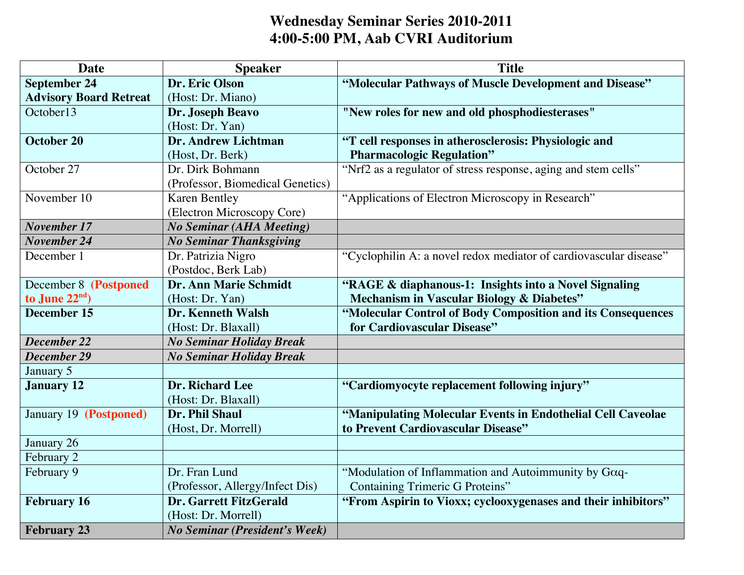## **Wednesday Seminar Series 2010-2011 4:00-5:00 PM, Aab CVRI Auditorium**

| <b>Date</b>                   | <b>Speaker</b>                       | <b>Title</b>                                                      |
|-------------------------------|--------------------------------------|-------------------------------------------------------------------|
| <b>September 24</b>           | Dr. Eric Olson                       | "Molecular Pathways of Muscle Development and Disease"            |
| <b>Advisory Board Retreat</b> | (Host: Dr. Miano)                    |                                                                   |
| October <sup>13</sup>         | Dr. Joseph Beavo                     | "New roles for new and old phosphodiesterases"                    |
|                               | (Host: Dr. Yan)                      |                                                                   |
| October 20                    | <b>Dr. Andrew Lichtman</b>           | "T cell responses in atherosclerosis: Physiologic and             |
|                               | (Host, Dr. Berk)                     | <b>Pharmacologic Regulation"</b>                                  |
| October <sub>27</sub>         | Dr. Dirk Bohmann                     | "Nrf2 as a regulator of stress response, aging and stem cells"    |
|                               | (Professor, Biomedical Genetics)     |                                                                   |
| November 10                   | <b>Karen Bentley</b>                 | "Applications of Electron Microscopy in Research"                 |
|                               | (Electron Microscopy Core)           |                                                                   |
| <b>November 17</b>            | <b>No Seminar (AHA Meeting)</b>      |                                                                   |
| November 24                   | <b>No Seminar Thanksgiving</b>       |                                                                   |
| December 1                    | Dr. Patrizia Nigro                   | "Cyclophilin A: a novel redox mediator of cardiovascular disease" |
|                               | (Postdoc, Berk Lab)                  |                                                                   |
| December 8 (Postponed         | <b>Dr. Ann Marie Schmidt</b>         | "RAGE & diaphanous-1: Insights into a Novel Signaling             |
| to June $22nd$ )              | (Host: Dr. Yan)                      | Mechanism in Vascular Biology & Diabetes"                         |
| December 15                   | <b>Dr. Kenneth Walsh</b>             | "Molecular Control of Body Composition and its Consequences       |
|                               | (Host: Dr. Blaxall)                  | for Cardiovascular Disease"                                       |
| December 22                   | <b>No Seminar Holiday Break</b>      |                                                                   |
| December 29                   | <b>No Seminar Holiday Break</b>      |                                                                   |
| January 5                     |                                      |                                                                   |
| <b>January 12</b>             | Dr. Richard Lee                      | "Cardiomyocyte replacement following injury"                      |
|                               | (Host: Dr. Blaxall)                  |                                                                   |
| January 19 (Postponed)        | Dr. Phil Shaul                       | "Manipulating Molecular Events in Endothelial Cell Caveolae       |
|                               | (Host, Dr. Morrell)                  | to Prevent Cardiovascular Disease"                                |
| January 26                    |                                      |                                                                   |
| February 2                    |                                      |                                                                   |
| February 9                    | Dr. Fran Lund                        | "Modulation of Inflammation and Autoimmunity by Goq-              |
|                               | (Professor, Allergy/Infect Dis)      | <b>Containing Trimeric G Proteins"</b>                            |
| <b>February 16</b>            | <b>Dr. Garrett FitzGerald</b>        | "From Aspirin to Vioxx; cyclooxygenases and their inhibitors"     |
|                               | (Host: Dr. Morrell)                  |                                                                   |
| <b>February 23</b>            | <b>No Seminar (President's Week)</b> |                                                                   |